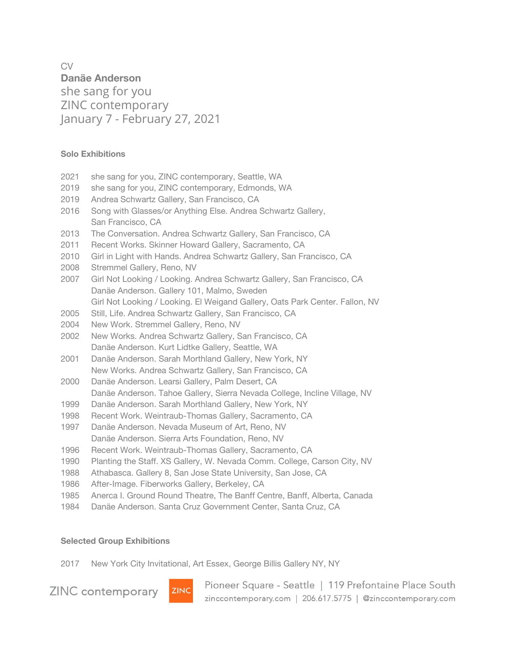CV **Danäe Anderson** she sang for you ZINC contemporary January 7 - February 27, 2021

# **Solo Exhibitions**

- 2021 she sang for you, ZINC contemporary, Seattle, WA
- 2019 she sang for you, ZINC contemporary, Edmonds, WA
- 2019 Andrea Schwartz Gallery, San Francisco, CA
- 2016 Song with Glasses/or Anything Else. Andrea Schwartz Gallery, San Francisco, CA
- 2013 The Conversation. Andrea Schwartz Gallery, San Francisco, CA
- 2011 Recent Works. Skinner Howard Gallery, Sacramento, CA
- 2010 Girl in Light with Hands. Andrea Schwartz Gallery, San Francisco, CA
- 2008 Stremmel Gallery, Reno, NV
- 2007 Girl Not Looking / Looking. Andrea Schwartz Gallery, San Francisco, CA Danäe Anderson. Gallery 101, Malmo, Sweden Girl Not Looking / Looking. El Weigand Gallery, Oats Park Center. Fallon, NV
- 2005 Still, Life. Andrea Schwartz Gallery, San Francisco, CA
- 2004 New Work. Stremmel Gallery, Reno, NV
- 2002 New Works. Andrea Schwartz Gallery, San Francisco, CA Danäe Anderson. Kurt Lidtke Gallery, Seattle, WA
- 2001 Danäe Anderson. Sarah Morthland Gallery, New York, NY New Works. Andrea Schwartz Gallery, San Francisco, CA
- 2000 Danäe Anderson. Learsi Gallery, Palm Desert, CA Danäe Anderson. Tahoe Gallery, Sierra Nevada College, Incline Village, NV
- 1999 Danäe Anderson. Sarah Morthland Gallery, New York, NY
- 1998 Recent Work. Weintraub-Thomas Gallery, Sacramento, CA
- 1997 Danäe Anderson. Nevada Museum of Art, Reno, NV Danäe Anderson. Sierra Arts Foundation, Reno, NV
- 1996 Recent Work. Weintraub-Thomas Gallery, Sacramento, CA
- 1990 Planting the Staff. XS Gallery, W. Nevada Comm. College, Carson City, NV
- 1988 Athabasca. Gallery 8, San Jose State University, San Jose, CA
- 1986 After-Image. Fiberworks Gallery, Berkeley, CA
- 1985 Anerca I. Ground Round Theatre, The Banff Centre, Banff, Alberta, Canada
- 1984 Danäe Anderson. Santa Cruz Government Center, Santa Cruz, CA

#### **Selected Group Exhibitions**

2017 New York City Invitational, Art Essex, George Billis Gallery NY, NY

ZINC contemporary



Pioneer Square - Seattle | 119 Prefontaine Place South zinccontemporary.com | 206.617.5775 | @zinccontemporary.com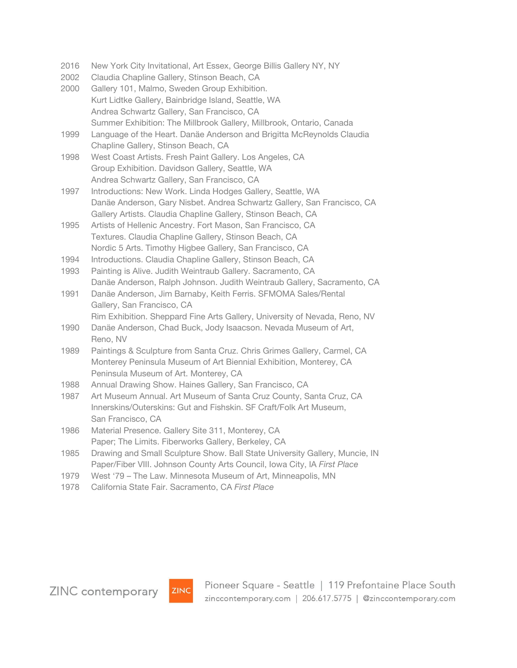- 2016 New York City Invitational, Art Essex, George Billis Gallery NY, NY
- 2002 Claudia Chapline Gallery, Stinson Beach, CA
- 2000 Gallery 101, Malmo, Sweden Group Exhibition. Kurt Lidtke Gallery, Bainbridge Island, Seattle, WA Andrea Schwartz Gallery, San Francisco, CA Summer Exhibition: The Millbrook Gallery, Millbrook, Ontario, Canada
- 1999 Language of the Heart. Danäe Anderson and Brigitta McReynolds Claudia Chapline Gallery, Stinson Beach, CA
- 1998 West Coast Artists. Fresh Paint Gallery. Los Angeles, CA Group Exhibition. Davidson Gallery, Seattle, WA Andrea Schwartz Gallery, San Francisco, CA
- 1997 Introductions: New Work. Linda Hodges Gallery, Seattle, WA Danäe Anderson, Gary Nisbet. Andrea Schwartz Gallery, San Francisco, CA Gallery Artists. Claudia Chapline Gallery, Stinson Beach, CA
- 1995 Artists of Hellenic Ancestry. Fort Mason, San Francisco, CA Textures. Claudia Chapline Gallery, Stinson Beach, CA Nordic 5 Arts. Timothy Higbee Gallery, San Francisco, CA
- 1994 Introductions. Claudia Chapline Gallery, Stinson Beach, CA
- 1993 Painting is Alive. Judith Weintraub Gallery. Sacramento, CA Danäe Anderson, Ralph Johnson. Judith Weintraub Gallery, Sacramento, CA
- 1991 Danäe Anderson, Jim Barnaby, Keith Ferris. SFMOMA Sales/Rental Gallery, San Francisco, CA
	- Rim Exhibition. Sheppard Fine Arts Gallery, University of Nevada, Reno, NV
- 1990 Danäe Anderson, Chad Buck, Jody Isaacson. Nevada Museum of Art, Reno, NV
- 1989 Paintings & Sculpture from Santa Cruz. Chris Grimes Gallery, Carmel, CA Monterey Peninsula Museum of Art Biennial Exhibition, Monterey, CA Peninsula Museum of Art. Monterey, CA
- 1988 Annual Drawing Show. Haines Gallery, San Francisco, CA
- 1987 Art Museum Annual. Art Museum of Santa Cruz County, Santa Cruz, CA Innerskins/Outerskins: Gut and Fishskin. SF Craft/Folk Art Museum, San Francisco, CA
- 1986 Material Presence. Gallery Site 311, Monterey, CA Paper; The Limits. Fiberworks Gallery, Berkeley, CA
- 1985 Drawing and Small Sculpture Show. Ball State University Gallery, Muncie, IN Paper/Fiber VIII. Johnson County Arts Council, Iowa City, IA *First Place*
- 1979 West '79 The Law. Minnesota Museum of Art, Minneapolis, MN
- 1978 California State Fair. Sacramento, CA *First Place*